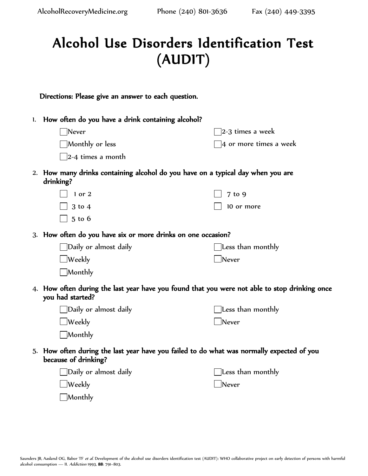$\Box$ Monthly

## Alcohol Use Disorders Identification Test (AUDIT)

| Directions: Please give an answer to each question. |  |  |  |  |  |  |  |
|-----------------------------------------------------|--|--|--|--|--|--|--|
|-----------------------------------------------------|--|--|--|--|--|--|--|

| 1. How often do you have a drink containing alcohol?                                                              |                                      |  |  |  |  |  |
|-------------------------------------------------------------------------------------------------------------------|--------------------------------------|--|--|--|--|--|
| $\aleph$ ever                                                                                                     | $\mathbin{\exists}$ 2-3 times a week |  |  |  |  |  |
| $\Box$ Monthly or less                                                                                            | $\exists$ 4 or more times a week     |  |  |  |  |  |
| $\vert$ 2-4 times a month                                                                                         |                                      |  |  |  |  |  |
| 2. How many drinks containing alcohol do you have on a typical day when you are<br>drinking?                      |                                      |  |  |  |  |  |
| $1$ or $2$                                                                                                        | 7 to 9                               |  |  |  |  |  |
| $3$ to $4$                                                                                                        | 10 or more                           |  |  |  |  |  |
| $5$ to $6$                                                                                                        |                                      |  |  |  |  |  |
| 3. How often do you have six or more drinks on one occasion?                                                      |                                      |  |  |  |  |  |
| ]Daily or almost daily                                                                                            | $\,$ Less than monthly               |  |  |  |  |  |
| $\lrcorner$ Weekly                                                                                                | Never                                |  |  |  |  |  |
| Monthly                                                                                                           |                                      |  |  |  |  |  |
| 4. How often during the last year have you found that you were not able to stop drinking once<br>you had started? |                                      |  |  |  |  |  |
| $\Box$ Daily or almost daily                                                                                      | $\,$ Less than monthly               |  |  |  |  |  |
| $\lrcorner$ Weekly                                                                                                | $\Box$ Never                         |  |  |  |  |  |
| Monthly                                                                                                           |                                      |  |  |  |  |  |
| 5. How often during the last year have you failed to do what was normally expected of you<br>because of drinking? |                                      |  |  |  |  |  |
| Daily or almost daily                                                                                             | Less than monthly                    |  |  |  |  |  |
| Weekly                                                                                                            | Never                                |  |  |  |  |  |